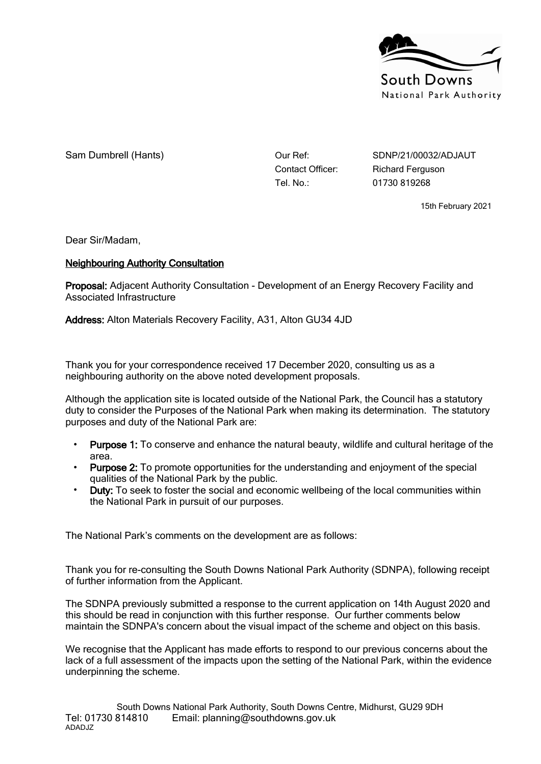

Sam Dumbrell (Hants)  $\rho_{\text{u}}$  Our Ref: SDNP/21/00032/ADJAUT

Tel. No.: 01730 819268

Contact Officer: Richard Ferguson

15th February 2021

Dear Sir/Madam,

## **Neighbouring Authority Consultation**

**Proposal:** Adjacent Authority Consultation - Development of an Energy Recovery Facility and Associated Infrastructure

**Address:** Alton Materials Recovery Facility, A31, Alton GU34 4JD

Thank you for your correspondence received 17 December 2020, consulting us as a neighbouring authority on the above noted development proposals.

Although the application site is located outside of the National Park, the Council has a statutory duty to consider the Purposes of the National Park when making its determination. The statutory purposes and duty of the National Park are:

- **Purpose 1:** To conserve and enhance the natural beauty, wildlife and cultural heritage of the area.
- **Purpose 2:** To promote opportunities for the understanding and enjoyment of the special qualities of the National Park by the public.
- **Duty:** To seek to foster the social and economic wellbeing of the local communities within the National Park in pursuit of our purposes.

The National Park's comments on the development are as follows:

Thank you for re-consulting the South Downs National Park Authority (SDNPA), following receipt of further information from the Applicant.

The SDNPA previously submitted a response to the current application on 14th August 2020 and this should be read in conjunction with this further response. Our further comments below maintain the SDNPA's concern about the visual impact of the scheme and object on this basis.

We recognise that the Applicant has made efforts to respond to our previous concerns about the lack of a full assessment of the impacts upon the setting of the National Park, within the evidence underpinning the scheme.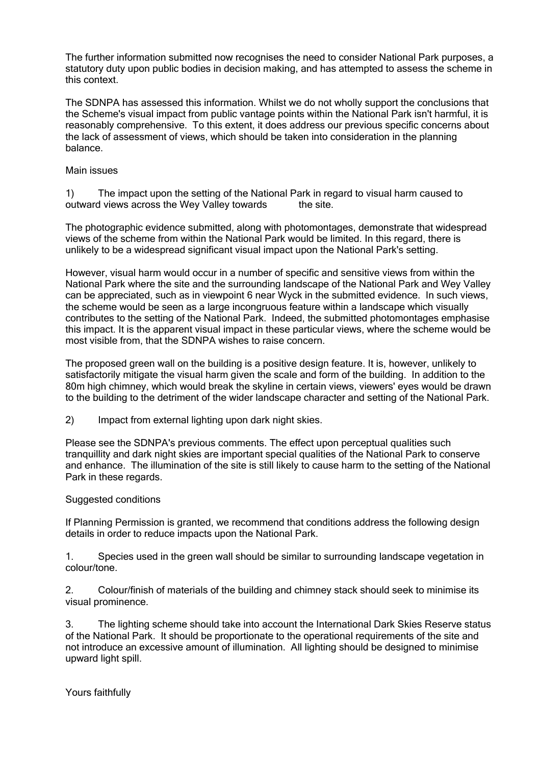The further information submitted now recognises the need to consider National Park purposes, a statutory duty upon public bodies in decision making, and has attempted to assess the scheme in this context.

The SDNPA has assessed this information. Whilst we do not wholly support the conclusions that the Scheme's visual impact from public vantage points within the National Park isn't harmful, it is reasonably comprehensive. To this extent, it does address our previous specific concerns about the lack of assessment of views, which should be taken into consideration in the planning balance.

## Main issues

1) The impact upon the setting of the National Park in regard to visual harm caused to outward views across the Wey Valley towards the site.

The photographic evidence submitted, along with photomontages, demonstrate that widespread views of the scheme from within the National Park would be limited. In this regard, there is unlikely to be a widespread significant visual impact upon the National Park's setting.

However, visual harm would occur in a number of specific and sensitive views from within the National Park where the site and the surrounding landscape of the National Park and Wey Valley can be appreciated, such as in viewpoint 6 near Wyck in the submitted evidence. In such views, the scheme would be seen as a large incongruous feature within a landscape which visually contributes to the setting of the National Park. Indeed, the submitted photomontages emphasise this impact. It is the apparent visual impact in these particular views, where the scheme would be most visible from, that the SDNPA wishes to raise concern.

The proposed green wall on the building is a positive design feature. It is, however, unlikely to satisfactorily mitigate the visual harm given the scale and form of the building. In addition to the 80m high chimney, which would break the skyline in certain views, viewers' eyes would be drawn to the building to the detriment of the wider landscape character and setting of the National Park.

2) Impact from external lighting upon dark night skies.

Please see the SDNPA's previous comments. The effect upon perceptual qualities such tranquillity and dark night skies are important special qualities of the National Park to conserve and enhance. The illumination of the site is still likely to cause harm to the setting of the National Park in these regards.

## Suggested conditions

If Planning Permission is granted, we recommend that conditions address the following design details in order to reduce impacts upon the National Park.

1. Species used in the green wall should be similar to surrounding landscape vegetation in colour/tone.

2. Colour/finish of materials of the building and chimney stack should seek to minimise its visual prominence.

3. The lighting scheme should take into account the International Dark Skies Reserve status of the National Park. It should be proportionate to the operational requirements of the site and not introduce an excessive amount of illumination. All lighting should be designed to minimise upward light spill.

Yours faithfully